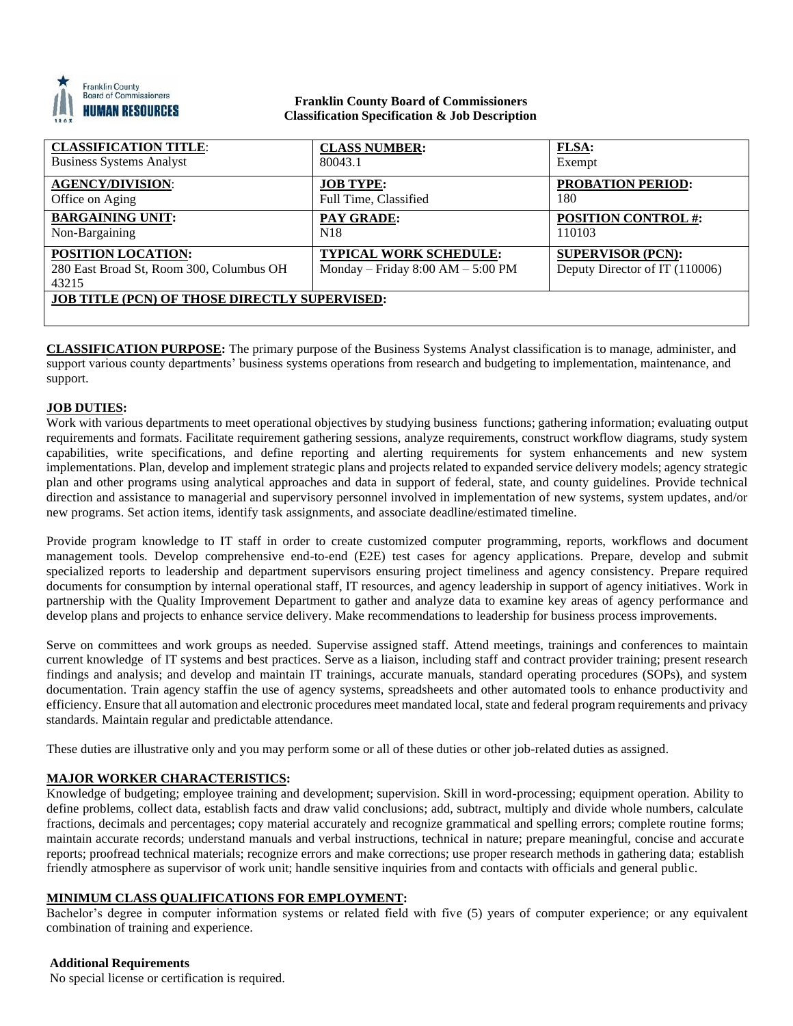

### **Franklin County Board of Commissioners Classification Specification & Job Description**

| <b>CLASSIFICATION TITLE:</b>                                                   | <b>CLASS NUMBER:</b>                                                   | <b>FLSA:</b>                                               |
|--------------------------------------------------------------------------------|------------------------------------------------------------------------|------------------------------------------------------------|
| <b>Business Systems Analyst</b>                                                | 80043.1                                                                | Exempt                                                     |
| <b>AGENCY/DIVISION:</b>                                                        | <b>JOB TYPE:</b>                                                       | <b>PROBATION PERIOD:</b>                                   |
| Office on Aging                                                                | Full Time, Classified                                                  | 180                                                        |
| <b>BARGAINING UNIT:</b>                                                        | <b>PAY GRADE:</b>                                                      | <b>POSITION CONTROL #:</b>                                 |
| Non-Bargaining                                                                 | N <sub>18</sub>                                                        | 110103                                                     |
| <b>POSITION LOCATION:</b><br>280 East Broad St, Room 300, Columbus OH<br>43215 | <b>TYPICAL WORK SCHEDULE:</b><br>Monday – Friday $8:00$ AM – $5:00$ PM | <b>SUPERVISOR (PCN):</b><br>Deputy Director of IT (110006) |
| <b>JOB TITLE (PCN) OF THOSE DIRECTLY SUPERVISED:</b>                           |                                                                        |                                                            |

**CLASSIFICATION PURPOSE:** The primary purpose of the Business Systems Analyst classification is to manage, administer, and support various county departments' business systems operations from research and budgeting to implementation, maintenance, and support.

# **JOB DUTIES:**

Work with various departments to meet operational objectives by studying business functions; gathering information; evaluating output requirements and formats. Facilitate requirement gathering sessions, analyze requirements, construct workflow diagrams, study system capabilities, write specifications, and define reporting and alerting requirements for system enhancements and new system implementations. Plan, develop and implement strategic plans and projects related to expanded service delivery models; agency strategic plan and other programs using analytical approaches and data in support of federal, state, and county guidelines. Provide technical direction and assistance to managerial and supervisory personnel involved in implementation of new systems, system updates, and/or new programs. Set action items, identify task assignments, and associate deadline/estimated timeline.

Provide program knowledge to IT staff in order to create customized computer programming, reports, workflows and document management tools. Develop comprehensive end-to-end (E2E) test cases for agency applications. Prepare, develop and submit specialized reports to leadership and department supervisors ensuring project timeliness and agency consistency. Prepare required documents for consumption by internal operational staff, IT resources, and agency leadership in support of agency initiatives. Work in partnership with the Quality Improvement Department to gather and analyze data to examine key areas of agency performance and develop plans and projects to enhance service delivery. Make recommendations to leadership for business process improvements.

Serve on committees and work groups as needed. Supervise assigned staff. Attend meetings, trainings and conferences to maintain current knowledge of IT systems and best practices. Serve as a liaison, including staff and contract provider training; present research findings and analysis; and develop and maintain IT trainings, accurate manuals, standard operating procedures (SOPs), and system documentation. Train agency staffin the use of agency systems, spreadsheets and other automated tools to enhance productivity and efficiency. Ensure that all automation and electronic procedures meet mandated local, state and federal program requirements and privacy standards. Maintain regular and predictable attendance.

These duties are illustrative only and you may perform some or all of these duties or other job-related duties as assigned.

# **MAJOR WORKER CHARACTERISTICS:**

Knowledge of budgeting; employee training and development; supervision. Skill in word-processing; equipment operation. Ability to define problems, collect data, establish facts and draw valid conclusions; add, subtract, multiply and divide whole numbers, calculate fractions, decimals and percentages; copy material accurately and recognize grammatical and spelling errors; complete routine forms; maintain accurate records; understand manuals and verbal instructions, technical in nature; prepare meaningful, concise and accurate reports; proofread technical materials; recognize errors and make corrections; use proper research methods in gathering data; establish friendly atmosphere as supervisor of work unit; handle sensitive inquiries from and contacts with officials and general public.

### **MINIMUM CLASS QUALIFICATIONS FOR EMPLOYMENT:**

Bachelor's degree in computer information systems or related field with five (5) years of computer experience; or any equivalent combination of training and experience.

#### **Additional Requirements**

No special license or certification is required.